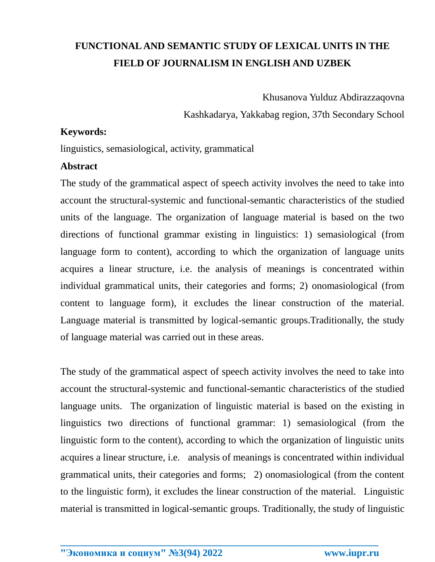## **FUNCTIONAL AND SEMANTIC STUDY OF LEXICAL UNITS IN THE FIELD OF JOURNALISM IN ENGLISH AND UZBEK**

Khusanova Yulduz Abdirazzaqovna

Kashkadarya, Yakkabag region, 37th Secondary School

## **Keywords:**

linguistics, semasiological, activity, grammatical

## **Abstract**

The study of the grammatical aspect of speech activity involves the need to take into account the structural-systemic and functional-semantic characteristics of the studied units of the language. The organization of language material is based on the two directions of functional grammar existing in linguistics: 1) semasiological (from language form to content), according to which the organization of language units acquires a linear structure, i.e. the analysis of meanings is concentrated within individual grammatical units, their categories and forms; 2) onomasiological (from content to language form), it excludes the linear construction of the material. Language material is transmitted by logical-semantic groups.Traditionally, the study of language material was carried out in these areas.

The study of the grammatical aspect of speech activity involves the need to take into account the structural-systemic and functional-semantic characteristics of the studied language units. The organization of linguistic material is based on the existing in linguistics two directions of functional grammar: 1) semasiological (from the linguistic form to the content), according to which the organization of linguistic units acquires a linear structure, i.e. analysis of meanings is concentrated within individual grammatical units, their categories and forms; 2) onomasiological (from the content to the linguistic form), it excludes the linear construction of the material. Linguistic material is transmitted in logical-semantic groups. Traditionally, the study of linguistic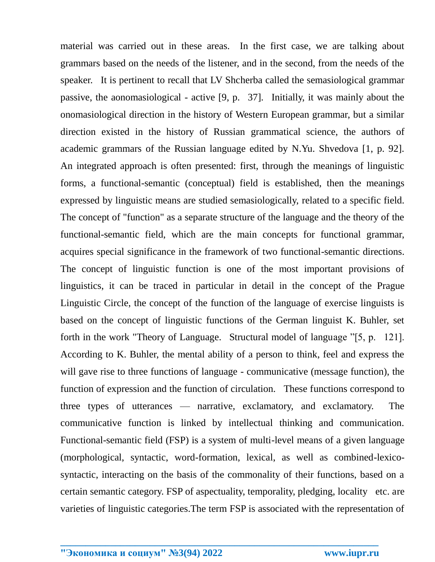material was carried out in these areas. In the first case, we are talking about grammars based on the needs of the listener, and in the second, from the needs of the speaker. It is pertinent to recall that LV Shcherba called the semasiological grammar passive, the aonomasiological - active [9, p. 37]. Initially, it was mainly about the onomasiological direction in the history of Western European grammar, but a similar direction existed in the history of Russian grammatical science, the authors of academic grammars of the Russian language edited by N.Yu. Shvedova [1, p. 92]. An integrated approach is often presented: first, through the meanings of linguistic forms, a functional-semantic (conceptual) field is established, then the meanings expressed by linguistic means are studied semasiologically, related to a specific field. The concept of "function" as a separate structure of the language and the theory of the functional-semantic field, which are the main concepts for functional grammar, acquires special significance in the framework of two functional-semantic directions. The concept of linguistic function is one of the most important provisions of linguistics, it can be traced in particular in detail in the concept of the Prague Linguistic Circle, the concept of the function of the language of exercise linguists is based on the concept of linguistic functions of the German linguist K. Buhler, set forth in the work "Theory of Language. Structural model of language "[5, p. 121]. According to K. Buhler, the mental ability of a person to think, feel and express the will gave rise to three functions of language - communicative (message function), the function of expression and the function of circulation. These functions correspond to three types of utterances — narrative, exclamatory, and exclamatory. The communicative function is linked by intellectual thinking and communication. Functional-semantic field (FSP) is a system of multi-level means of a given language (morphological, syntactic, word-formation, lexical, as well as combined-lexicosyntactic, interacting on the basis of the commonality of their functions, based on a certain semantic category. FSP of aspectuality, temporality, pledging, locality etc. are varieties of linguistic categories.The term FSP is associated with the representation of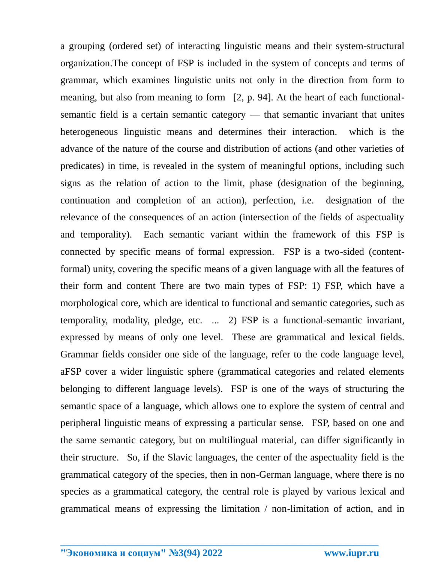a grouping (ordered set) of interacting linguistic means and their system-structural organization.The concept of FSP is included in the system of concepts and terms of grammar, which examines linguistic units not only in the direction from form to meaning, but also from meaning to form [2, p. 94]. At the heart of each functionalsemantic field is a certain semantic category — that semantic invariant that unites heterogeneous linguistic means and determines their interaction. which is the advance of the nature of the course and distribution of actions (and other varieties of predicates) in time, is revealed in the system of meaningful options, including such signs as the relation of action to the limit, phase (designation of the beginning, continuation and completion of an action), perfection, i.e. designation of the relevance of the consequences of an action (intersection of the fields of aspectuality and temporality). Each semantic variant within the framework of this FSP is connected by specific means of formal expression. FSP is a two-sided (contentformal) unity, covering the specific means of a given language with all the features of their form and content There are two main types of FSP: 1) FSP, which have a morphological core, which are identical to functional and semantic categories, such as temporality, modality, pledge, etc. ... 2) FSP is a functional-semantic invariant, expressed by means of only one level. These are grammatical and lexical fields. Grammar fields consider one side of the language, refer to the code language level, aFSP cover a wider linguistic sphere (grammatical categories and related elements belonging to different language levels). FSP is one of the ways of structuring the semantic space of a language, which allows one to explore the system of central and peripheral linguistic means of expressing a particular sense. FSP, based on one and the same semantic category, but on multilingual material, can differ significantly in their structure. So, if the Slavic languages, the center of the aspectuality field is the grammatical category of the species, then in non-German language, where there is no species as a grammatical category, the central role is played by various lexical and grammatical means of expressing the limitation / non-limitation of action, and in